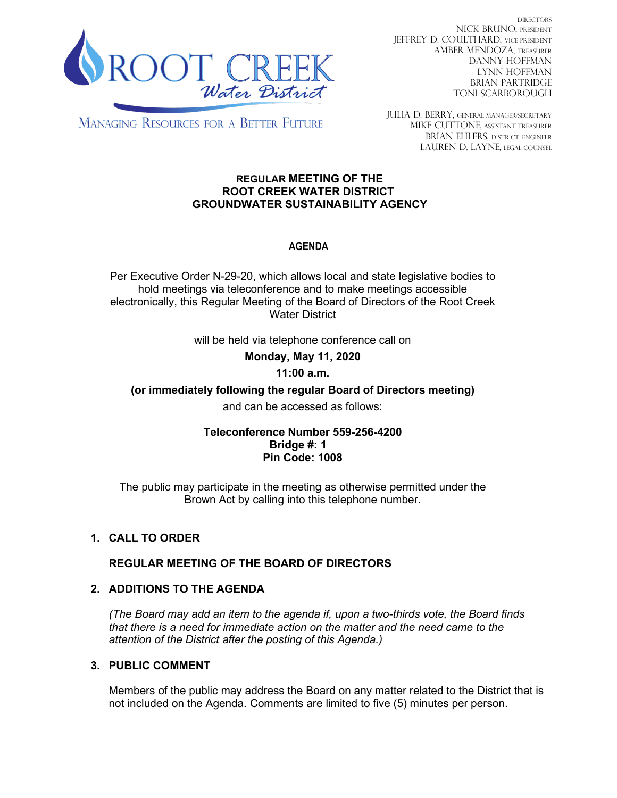

DIRECTORS NICK BRUNO, PRESIDENT JEFFREY D. COULTHARD, Vice President AMBER MENDOZA, TREASURER DANNY HOFFMAN LYNN HOFFMAN BRIAN PARTRIDGE TONI SCARBOROUGH

**MANAGING RESOURCES FOR A BETTER FUTURE** 

JULIA D. BERRY, GENERAL MANAGER/secretary MIKE CUTTONE, Assistant treasurer BRIAN EHLERS, DISTRICT ENGINEER LAUREN D. LAYNE, LEGAL COUNSEL

#### **REGULAR MEETING OF THE ROOT CREEK WATER DISTRICT GROUNDWATER SUSTAINABILITY AGENCY**

# **AGENDA**

Per Executive Order N-29-20, which allows local and state legislative bodies to hold meetings via teleconference and to make meetings accessible electronically, this Regular Meeting of the Board of Directors of the Root Creek Water District

will be held via telephone conference call on

**Monday, May 11, 2020** 

### **11:00 a.m.**

**(or immediately following the regular Board of Directors meeting)**

and can be accessed as follows:

### **Teleconference Number 559-256-4200 Bridge #: 1 Pin Code: 1008**

The public may participate in the meeting as otherwise permitted under the Brown Act by calling into this telephone number.

# **1. CALL TO ORDER**

### **REGULAR MEETING OF THE BOARD OF DIRECTORS**

### **2. ADDITIONS TO THE AGENDA**

*(The Board may add an item to the agenda if, upon a two-thirds vote, the Board finds that there is a need for immediate action on the matter and the need came to the attention of the District after the posting of this Agenda.)*

## **3. PUBLIC COMMENT**

Members of the public may address the Board on any matter related to the District that is not included on the Agenda. Comments are limited to five (5) minutes per person.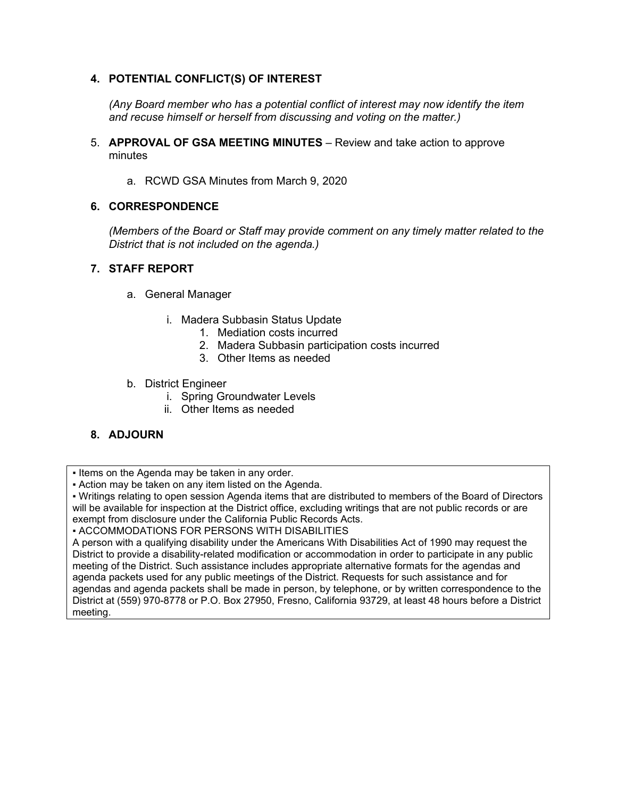## **4. POTENTIAL CONFLICT(S) OF INTEREST**

*(Any Board member who has a potential conflict of interest may now identify the item and recuse himself or herself from discussing and voting on the matter.)*

- 5. **APPROVAL OF GSA MEETING MINUTES** Review and take action to approve minutes
	- a. RCWD GSA Minutes from March 9, 2020

#### **6. CORRESPONDENCE**

*(Members of the Board or Staff may provide comment on any timely matter related to the District that is not included on the agenda.)*

#### **7. STAFF REPORT**

- a. General Manager
	- i. Madera Subbasin Status Update
		- 1. Mediation costs incurred
		- 2. Madera Subbasin participation costs incurred
		- 3. Other Items as needed
- b. District Engineer
	- i. Spring Groundwater Levels
	- ii. Other Items as needed

### **8. ADJOURN**

. Items on the Agenda may be taken in any order.

▪ Action may be taken on any item listed on the Agenda.

▪ Writings relating to open session Agenda items that are distributed to members of the Board of Directors will be available for inspection at the District office, excluding writings that are not public records or are exempt from disclosure under the California Public Records Acts.

▪ ACCOMMODATIONS FOR PERSONS WITH DISABILITIES

A person with a qualifying disability under the Americans With Disabilities Act of 1990 may request the District to provide a disability-related modification or accommodation in order to participate in any public meeting of the District. Such assistance includes appropriate alternative formats for the agendas and agenda packets used for any public meetings of the District. Requests for such assistance and for agendas and agenda packets shall be made in person, by telephone, or by written correspondence to the District at (559) 970-8778 or P.O. Box 27950, Fresno, California 93729, at least 48 hours before a District meeting.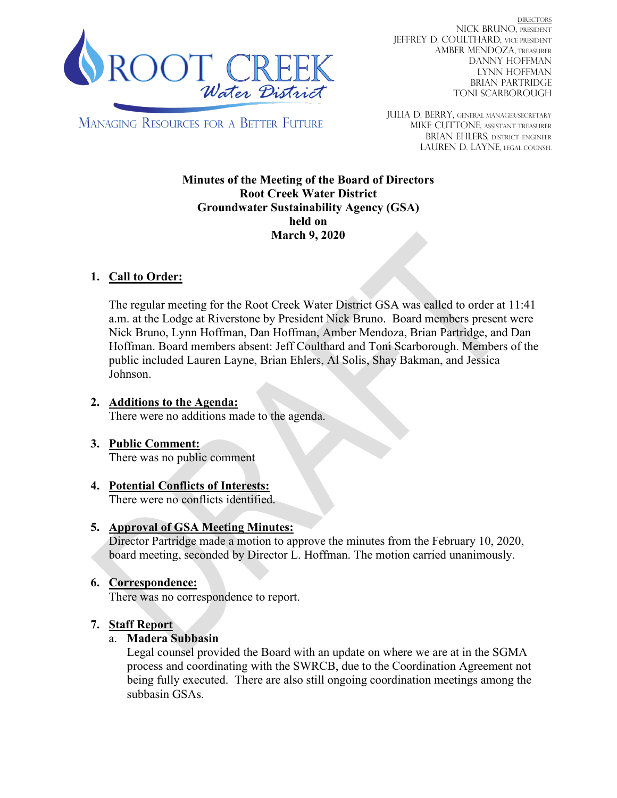

DIRECTORS NICK BRUNO, PRESIDENT JEFFREY D. COULTHARD, Vice President AMBER MENDOZA, TREASURER DANNY HOFFMAN LYNN HOFFMAN BRIAN PARTRIDGE TONI SCARBOROUGH

**MANAGING RESOURCES FOR A BETTER FUTURE** 

JULIA D. BERRY, GENERAL MANAGER/secretary MIKE CUTTONE, Assistant treasurer BRIAN EHLERS, DISTRICT ENGINEER LAUREN D. LAYNE, LEGAL COUNSEL

**Minutes of the Meeting of the Board of Directors Root Creek Water District Groundwater Sustainability Agency (GSA) held on March 9, 2020**

# **1. Call to Order:**

The regular meeting for the Root Creek Water District GSA was called to order at 11:41 a.m. at the Lodge at Riverstone by President Nick Bruno. Board members present were Nick Bruno, Lynn Hoffman, Dan Hoffman, Amber Mendoza, Brian Partridge, and Dan Hoffman. Board members absent: Jeff Coulthard and Toni Scarborough. Members of the public included Lauren Layne, Brian Ehlers, Al Solis, Shay Bakman, and Jessica Johnson.

- **2. Additions to the Agenda:** There were no additions made to the agenda.
- **3. Public Comment:** There was no public comment
- **4. Potential Conflicts of Interests:** There were no conflicts identified.

# **5. Approval of GSA Meeting Minutes:**

Director Partridge made a motion to approve the minutes from the February 10, 2020, board meeting, seconded by Director L. Hoffman. The motion carried unanimously.

# **6. Correspondence:**

There was no correspondence to report.

# **7. Staff Report**

### a. **Madera Subbasin**

Legal counsel provided the Board with an update on where we are at in the SGMA process and coordinating with the SWRCB, due to the Coordination Agreement not being fully executed. There are also still ongoing coordination meetings among the subbasin GSAs.